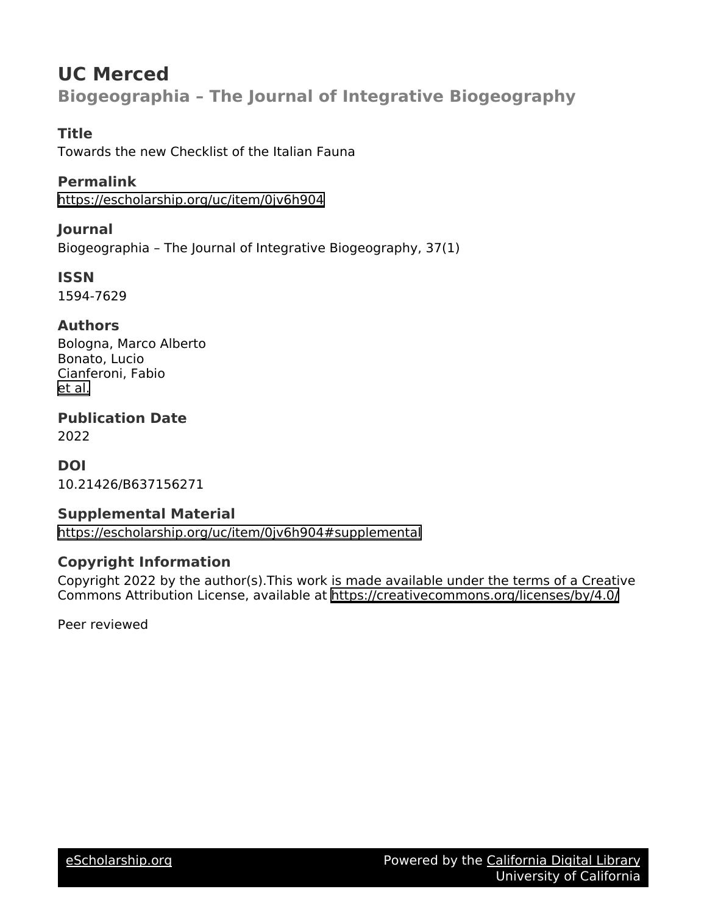# **UC Merced Biogeographia – The Journal of Integrative Biogeography**

## **Title**

Towards the new Checklist of the Italian Fauna

## **Permalink**

<https://escholarship.org/uc/item/0jv6h904>

## **Journal**

Biogeographia – The Journal of Integrative Biogeography, 37(1)

**ISSN** 1594-7629

## **Authors**

Bologna, Marco Alberto Bonato, Lucio Cianferoni, Fabio [et al.](https://escholarship.org/uc/item/0jv6h904#author)

### **Publication Date** 2022

**DOI** 10.21426/B637156271

## **Supplemental Material**

<https://escholarship.org/uc/item/0jv6h904#supplemental>

# **Copyright Information**

Copyright 2022 by the author(s).This work is made available under the terms of a Creative Commons Attribution License, available at <https://creativecommons.org/licenses/by/4.0/>

Peer reviewed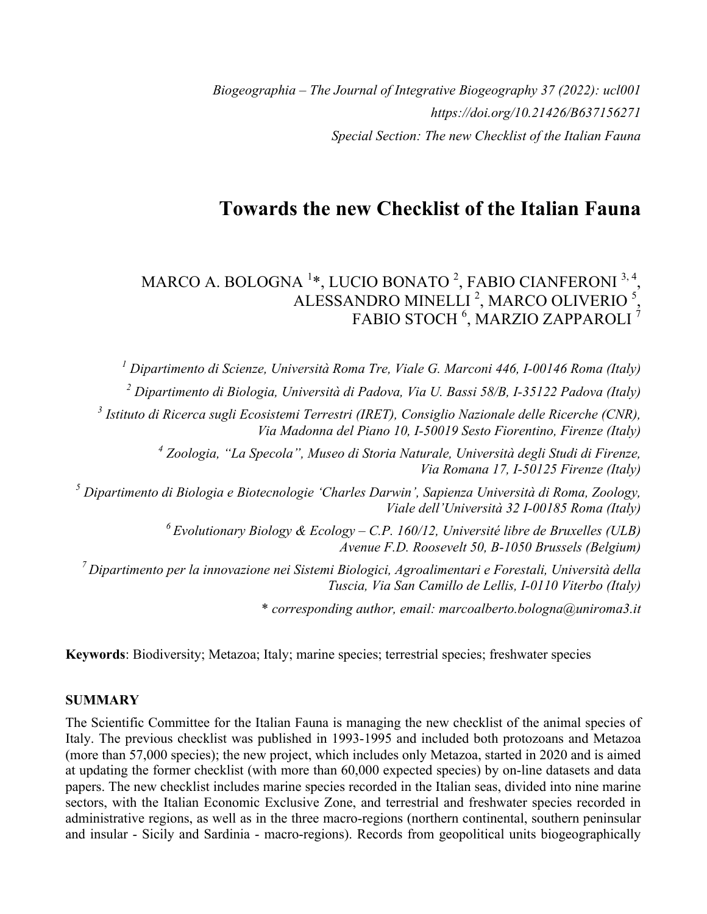*Biogeographia – The Journal of Integrative Biogeography 37 (2022): ucl001 https://doi.org/10.21426/B637156271 Special Section: The new Checklist of the Italian Fauna*

# **Towards the new Checklist of the Italian Fauna**

#### MARCO A. BOLOGNA  $^{1\ast},$  LUCIO BONATO  $^{2},$  FABIO CIANFERONI  $^{3,4}$ , ALESSANDRO MINELLI<sup>2</sup>, MARCO OLIVERIO<sup>5</sup>, FABIO STOCH <sup>6</sup>, MARZIO ZAPPAROLI <sup>7</sup>

*<sup>1</sup> Dipartimento di Scienze, Università Roma Tre, Viale G. Marconi 446, I-00146 Roma (Italy)*

*<sup>2</sup> Dipartimento di Biologia, Università di Padova, Via U. Bassi 58/B, I-35122 Padova (Italy)*

*<sup>3</sup> Istituto di Ricerca sugli Ecosistemi Terrestri (IRET), Consiglio Nazionale delle Ricerche (CNR), Via Madonna del Piano 10, I-50019 Sesto Fiorentino, Firenze (Italy)*

> *<sup>4</sup> Zoologia, "La Specola", Museo di Storia Naturale, Università degli Studi di Firenze, Via Romana 17, I-50125 Firenze (Italy)*

*<sup>5</sup> Dipartimento di Biologia e Biotecnologie 'Charles Darwin', Sapienza Università di Roma, Zoology, Viale dell'Università 32 I-00185 Roma (Italy)*

> *6 Evolutionary Biology & Ecology – C.P. 160/12, Université libre de Bruxelles (ULB) Avenue F.D. Roosevelt 50, B-1050 Brussels (Belgium)*

*7 Dipartimento per la innovazione nei Sistemi Biologici, Agroalimentari e Forestali, Università della Tuscia, Via San Camillo de Lellis, I-0110 Viterbo (Italy)*

\* *corresponding author, email: marcoalberto.bologna@uniroma3.it*

**Keywords**: Biodiversity; Metazoa; Italy; marine species; terrestrial species; freshwater species

### **SUMMARY**

The Scientific Committee for the Italian Fauna is managing the new checklist of the animal species of Italy. The previous checklist was published in 1993-1995 and included both protozoans and Metazoa (more than 57,000 species); the new project, which includes only Metazoa, started in 2020 and is aimed at updating the former checklist (with more than 60,000 expected species) by on-line datasets and data papers. The new checklist includes marine species recorded in the Italian seas, divided into nine marine sectors, with the Italian Economic Exclusive Zone, and terrestrial and freshwater species recorded in administrative regions, as well as in the three macro-regions (northern continental, southern peninsular and insular - Sicily and Sardinia - macro-regions). Records from geopolitical units biogeographically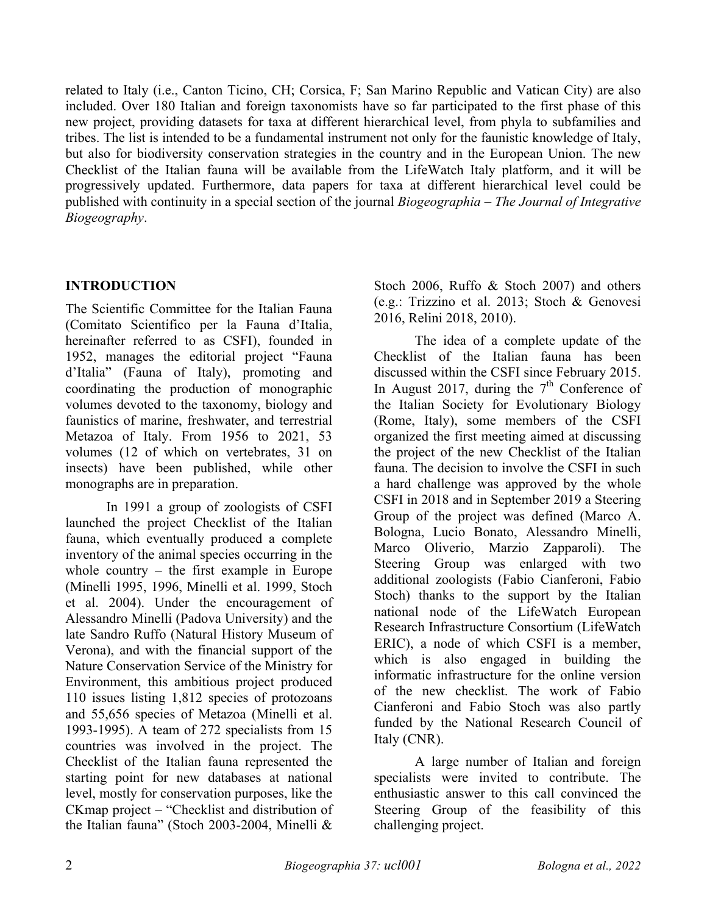related to Italy (i.e., Canton Ticino, CH; Corsica, F; San Marino Republic and Vatican City) are also included. Over 180 Italian and foreign taxonomists have so far participated to the first phase of this new project, providing datasets for taxa at different hierarchical level, from phyla to subfamilies and tribes. The list is intended to be a fundamental instrument not only for the faunistic knowledge of Italy, but also for biodiversity conservation strategies in the country and in the European Union. The new Checklist of the Italian fauna will be available from the LifeWatch Italy platform, and it will be progressively updated. Furthermore, data papers for taxa at different hierarchical level could be published with continuity in a special section of the journal *Biogeographia – The Journal of Integrative Biogeography*.

## **INTRODUCTION**

The Scientific Committee for the Italian Fauna (Comitato Scientifico per la Fauna d'Italia, hereinafter referred to as CSFI), founded in 1952, manages the editorial project "Fauna d'Italia" (Fauna of Italy), promoting and coordinating the production of monographic volumes devoted to the taxonomy, biology and faunistics of marine, freshwater, and terrestrial Metazoa of Italy. From 1956 to 2021, 53 volumes (12 of which on vertebrates, 31 on insects) have been published, while other monographs are in preparation.

In 1991 a group of zoologists of CSFI launched the project Checklist of the Italian fauna, which eventually produced a complete inventory of the animal species occurring in the whole country – the first example in Europe (Minelli 1995, 1996, Minelli et al. 1999, Stoch et al. 2004). Under the encouragement of Alessandro Minelli (Padova University) and the late Sandro Ruffo (Natural History Museum of Verona), and with the financial support of the Nature Conservation Service of the Ministry for Environment, this ambitious project produced 110 issues listing 1,812 species of protozoans and 55,656 species of Metazoa (Minelli et al. 1993-1995). A team of 272 specialists from 15 countries was involved in the project. The Checklist of the Italian fauna represented the starting point for new databases at national level, mostly for conservation purposes, like the CKmap project – "Checklist and distribution of the Italian fauna" (Stoch 2003-2004, Minelli &

Stoch 2006, Ruffo & Stoch 2007) and others (e.g.: Trizzino et al. 2013; Stoch & Genovesi 2016, Relini 2018, 2010).

The idea of a complete update of the Checklist of the Italian fauna has been discussed within the CSFI since February 2015. In August 2017, during the  $7<sup>th</sup>$  Conference of the Italian Society for Evolutionary Biology (Rome, Italy), some members of the CSFI organized the first meeting aimed at discussing the project of the new Checklist of the Italian fauna. The decision to involve the CSFI in such a hard challenge was approved by the whole CSFI in 2018 and in September 2019 a Steering Group of the project was defined (Marco A. Bologna, Lucio Bonato, Alessandro Minelli, Marco Oliverio, Marzio Zapparoli). The Steering Group was enlarged with two additional zoologists (Fabio Cianferoni, Fabio Stoch) thanks to the support by the Italian national node of the LifeWatch European Research Infrastructure Consortium (LifeWatch ERIC), a node of which CSFI is a member, which is also engaged in building the informatic infrastructure for the online version of the new checklist. The work of Fabio Cianferoni and Fabio Stoch was also partly funded by the National Research Council of Italy (CNR).

A large number of Italian and foreign specialists were invited to contribute. The enthusiastic answer to this call convinced the Steering Group of the feasibility of this challenging project.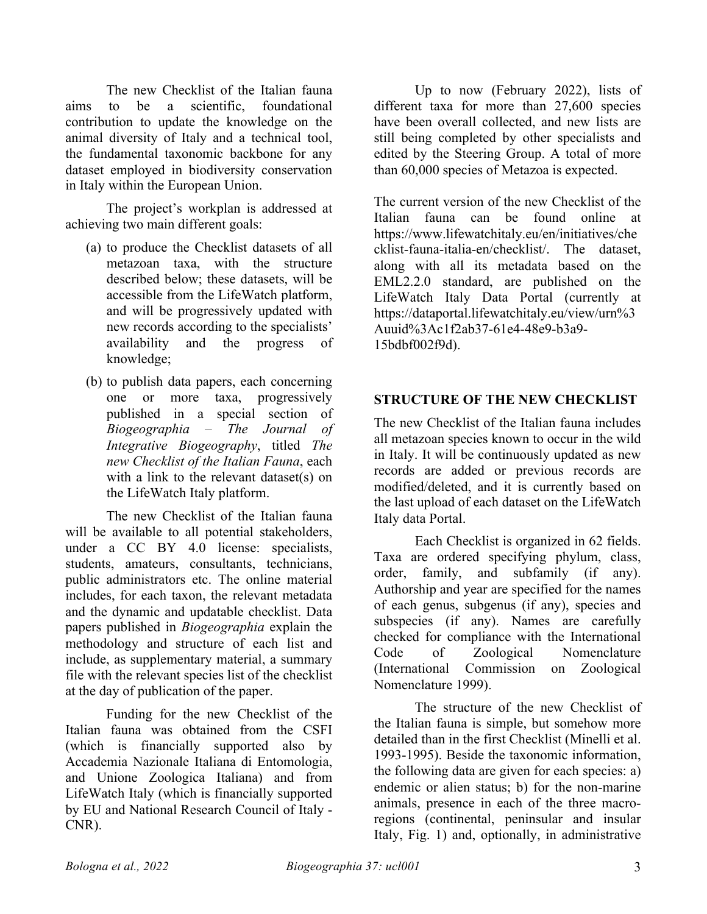The new Checklist of the Italian fauna aims to be a scientific, foundational contribution to update the knowledge on the animal diversity of Italy and a technical tool, the fundamental taxonomic backbone for any dataset employed in biodiversity conservation in Italy within the European Union.

The project's workplan is addressed at achieving two main different goals:

- (a) to produce the Checklist datasets of all metazoan taxa, with the structure described below; these datasets, will be accessible from the LifeWatch platform, and will be progressively updated with new records according to the specialists' availability and the progress of knowledge;
- (b) to publish data papers, each concerning one or more taxa, progressively published in a special section of *Biogeographia – The Journal of Integrative Biogeography*, titled *The new Checklist of the Italian Fauna*, each with a link to the relevant dataset(s) on the LifeWatch Italy platform.

The new Checklist of the Italian fauna will be available to all potential stakeholders, under a CC BY 4.0 license: specialists, students, amateurs, consultants, technicians, public administrators etc. The online material includes, for each taxon, the relevant metadata and the dynamic and updatable checklist. Data papers published in *Biogeographia* explain the methodology and structure of each list and include, as supplementary material, a summary file with the relevant species list of the checklist at the day of publication of the paper.

Funding for the new Checklist of the Italian fauna was obtained from the CSFI (which is financially supported also by Accademia Nazionale Italiana di Entomologia, and Unione Zoologica Italiana) and from LifeWatch Italy (which is financially supported by EU and National Research Council of Italy - CNR).

Up to now (February 2022), lists of different taxa for more than 27,600 species have been overall collected, and new lists are still being completed by other specialists and edited by the Steering Group. A total of more than 60,000 species of Metazoa is expected.

The current version of the new Checklist of the Italian fauna can be found online at https://www.lifewatchitaly.eu/en/initiatives/che cklist-fauna-italia-en/checklist/. The dataset, along with all its metadata based on the EML2.2.0 standard, are published on the LifeWatch Italy Data Portal (currently at https://dataportal.lifewatchitaly.eu/view/urn%3 Auuid%3Ac1f2ab37-61e4-48e9-b3a9- 15bdbf002f9d).

### **STRUCTURE OF THE NEW CHECKLIST**

The new Checklist of the Italian fauna includes all metazoan species known to occur in the wild in Italy. It will be continuously updated as new records are added or previous records are modified/deleted, and it is currently based on the last upload of each dataset on the LifeWatch Italy data Portal.

Each Checklist is organized in 62 fields. Taxa are ordered specifying phylum, class, order, family, and subfamily (if any). Authorship and year are specified for the names of each genus, subgenus (if any), species and subspecies (if any). Names are carefully checked for compliance with the International Code of Zoological Nomenclature (International Commission on Zoological Nomenclature 1999).

The structure of the new Checklist of the Italian fauna is simple, but somehow more detailed than in the first Checklist (Minelli et al. 1993-1995). Beside the taxonomic information, the following data are given for each species: a) endemic or alien status; b) for the non-marine animals, presence in each of the three macroregions (continental, peninsular and insular Italy, Fig. 1) and, optionally, in administrative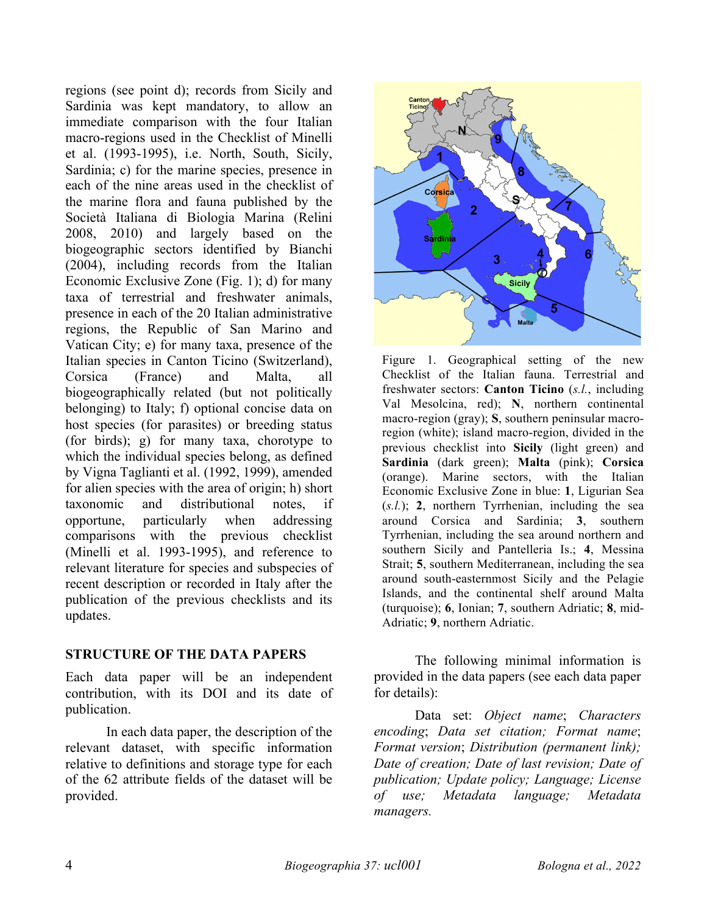regions (see point d); records from Sicily and Sardinia was kept mandatory, to allow an immediate comparison with the four Italian macro-regions used in the Checklist of Minelli et al. (1993-1995), i.e. North, South, Sicily, Sardinia; c) for the marine species, presence in each of the nine areas used in the checklist of the marine flora and fauna published by the Società Italiana di Biologia Marina (Relini 2008, 2010) and largely based on the biogeographic sectors identified by Bianchi (2004), including records from the Italian Economic Exclusive Zone (Fig. 1); d) for many taxa of terrestrial and freshwater animals, presence in each of the 20 Italian administrative regions, the Republic of San Marino and Vatican City; e) for many taxa, presence of the Italian species in Canton Ticino (Switzerland), Corsica (France) and Malta, all biogeographically related (but not politically belonging) to Italy; f) optional concise data on host species (for parasites) or breeding status (for birds); g) for many taxa, chorotype to which the individual species belong, as defined by Vigna Taglianti et al. (1992, 1999), amended for alien species with the area of origin; h) short taxonomic and distributional notes, if opportune, particularly when addressing comparisons with the previous checklist (Minelli et al. 1993-1995), and reference to relevant literature for species and subspecies of recent description or recorded in Italy after the publication of the previous checklists and its updates.

### **STRUCTURE OF THE DATA PAPERS**

Each data paper will be an independent contribution, with its DOI and its date of publication.

In each data paper, the description of the relevant dataset, with specific information relative to definitions and storage type for each of the 62 attribute fields of the dataset will be provided.



Figure 1. Geographical setting of the new Checklist of the Italian fauna. Terrestrial and freshwater sectors: **Canton Ticino** (*s.l.*, including Val Mesolcina, red); **N**, northern continental macro-region (gray); **S**, southern peninsular macroregion (white); island macro-region, divided in the previous checklist into **Sicily** (light green) and **Sardinia** (dark green); **Malta** (pink); **Corsica** (orange). Marine sectors, with the Italian Economic Exclusive Zone in blue: **1**, Ligurian Sea (*s.l.*); **2**, northern Tyrrhenian, including the sea around Corsica and Sardinia; **3**, southern Tyrrhenian, including the sea around northern and southern Sicily and Pantelleria Is.; **4**, Messina Strait; **5**, southern Mediterranean, including the sea around south-easternmost Sicily and the Pelagie Islands, and the continental shelf around Malta (turquoise); **6**, Ionian; **7**, southern Adriatic; **8**, mid-Adriatic; **9**, northern Adriatic.

The following minimal information is provided in the data papers (see each data paper for details):

Data set: *Object name*; *Characters encoding*; *Data set citation; Format name*; *Format version*; *Distribution (permanent link); Date of creation; Date of last revision; Date of publication; Update policy; Language; License of use; Metadata language; Metadata managers.*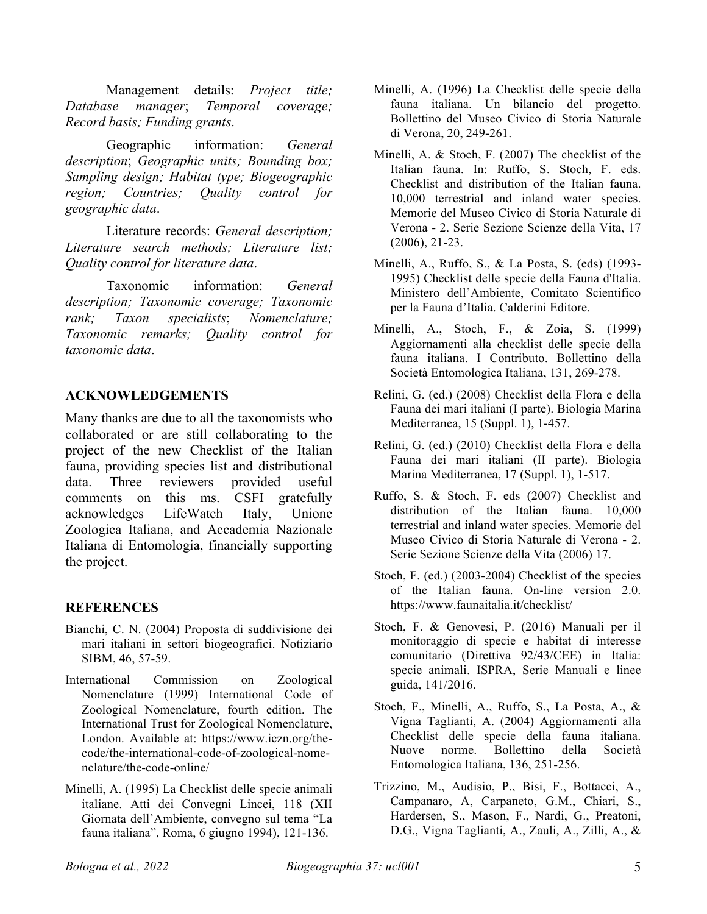Management details: *Project title; Database manager*; *Temporal coverage; Record basis; Funding grants*.

Geographic information: *General description*; *Geographic units; Bounding box; Sampling design; Habitat type; Biogeographic region; Countries; Quality control for geographic data*.

Literature records: *General description; Literature search methods; Literature list; Quality control for literature data*.

Taxonomic information: *General description; Taxonomic coverage; Taxonomic rank; Taxon specialists*; *Nomenclature; Taxonomic remarks; Quality control for taxonomic data*.

### **ACKNOWLEDGEMENTS**

Many thanks are due to all the taxonomists who collaborated or are still collaborating to the project of the new Checklist of the Italian fauna, providing species list and distributional data. Three reviewers provided useful comments on this ms. CSFI gratefully acknowledges LifeWatch Italy, Unione Zoologica Italiana, and Accademia Nazionale Italiana di Entomologia, financially supporting the project.

### **REFERENCES**

- Bianchi, C. N. (2004) Proposta di suddivisione dei mari italiani in settori biogeografici. Notiziario SIBM, 46, 57-59.
- International Commission on Zoological Nomenclature (1999) International Code of Zoological Nomenclature, fourth edition. The International Trust for Zoological Nomenclature, London. Available at: https://www.iczn.org/thecode/the-international-code-of-zoological-nomenclature/the-code-online/
- Minelli, A. (1995) La Checklist delle specie animali italiane. Atti dei Convegni Lincei, 118 (XII Giornata dell'Ambiente, convegno sul tema "La fauna italiana", Roma, 6 giugno 1994), 121-136.
- Minelli, A. (1996) La Checklist delle specie della fauna italiana. Un bilancio del progetto. Bollettino del Museo Civico di Storia Naturale di Verona, 20, 249-261.
- Minelli, A. & Stoch, F. (2007) The checklist of the Italian fauna. In: Ruffo, S. Stoch, F. eds. Checklist and distribution of the Italian fauna. 10,000 terrestrial and inland water species. Memorie del Museo Civico di Storia Naturale di Verona - 2. Serie Sezione Scienze della Vita, 17 (2006), 21-23.
- Minelli, A., Ruffo, S., & La Posta, S. (eds) (1993- 1995) Checklist delle specie della Fauna d'Italia. Ministero dell'Ambiente, Comitato Scientifico per la Fauna d'Italia. Calderini Editore.
- Minelli, A., Stoch, F., & Zoia, S. (1999) Aggiornamenti alla checklist delle specie della fauna italiana. I Contributo. Bollettino della Società Entomologica Italiana, 131, 269-278.
- Relini, G. (ed.) (2008) Checklist della Flora e della Fauna dei mari italiani (I parte). Biologia Marina Mediterranea, 15 (Suppl. 1), 1-457.
- Relini, G. (ed.) (2010) Checklist della Flora e della Fauna dei mari italiani (II parte). Biologia Marina Mediterranea, 17 (Suppl. 1), 1-517.
- Ruffo, S. & Stoch, F. eds (2007) Checklist and distribution of the Italian fauna. 10,000 terrestrial and inland water species. Memorie del Museo Civico di Storia Naturale di Verona - 2. Serie Sezione Scienze della Vita (2006) 17.
- Stoch, F. (ed.) (2003-2004) Checklist of the species of the Italian fauna. On-line version 2.0. https://www.faunaitalia.it/checklist/
- Stoch, F. & Genovesi, P. (2016) Manuali per il monitoraggio di specie e habitat di interesse comunitario (Direttiva 92/43/CEE) in Italia: specie animali. ISPRA, Serie Manuali e linee guida, 141/2016.
- Stoch, F., Minelli, A., Ruffo, S., La Posta, A., & Vigna Taglianti, A. (2004) Aggiornamenti alla Checklist delle specie della fauna italiana. Nuove norme. Bollettino della Società Entomologica Italiana, 136, 251-256.
- Trizzino, M., Audisio, P., Bisi, F., Bottacci, A., Campanaro, A, Carpaneto, G.M., Chiari, S., Hardersen, S., Mason, F., Nardi, G., Preatoni, D.G., Vigna Taglianti, A., Zauli, A., Zilli, A., &